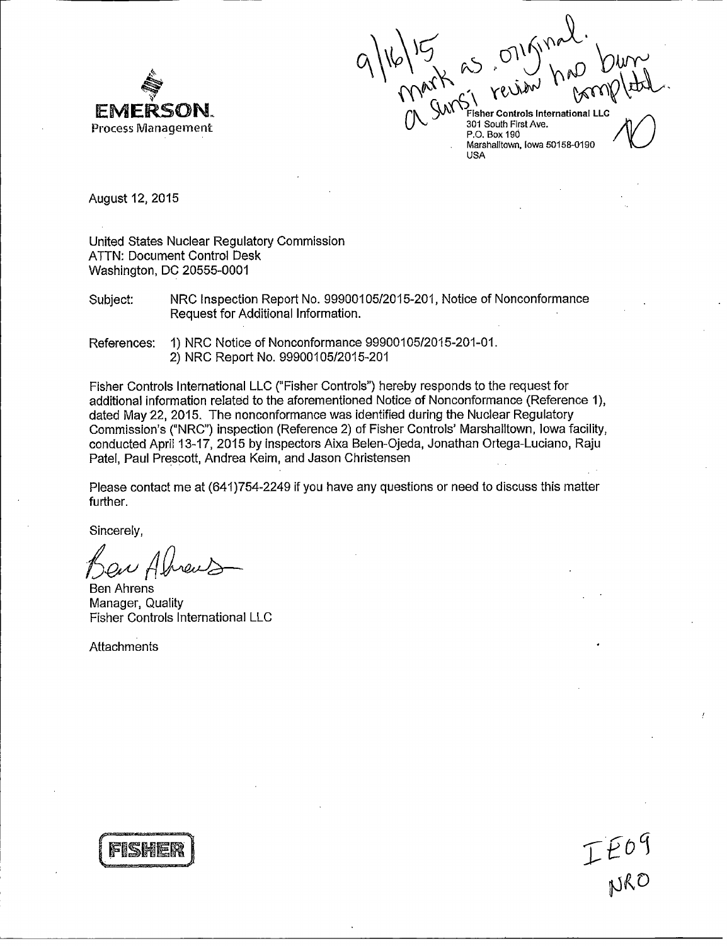

**FMERSON.** AND CONTROLLED SOME **EMERSON.**<br>Process Management **1997 CON** Soluth First Ave. **Fisher Controls International LLC** 

P.O. Box 190 Marshalltown, Iowa 50158-0190 USA

August 12, 2015

United States Nuclear Regulatory Commission ATTN: Document Control Desk Washington, DC 20555-0001

Subject: NRC Inspection Report No. 99900105/2015-201, Notice of Nonconformance Request for Additional Information.

References: 1) NRC Notice of Nonconformance 99900105/2015-201-01. 2) NRC Report No. 99900105/2015-201

Fisher Controls International LLC ("Fisher Controls") hereby responds to the request for additional information related to the aforementioned Notice of Nonconformance (Reference 1), dated May 22, 2015. The nonconformance was identified during the Nuclear Regulatory Commission's ("NRC") inspection (Reference 2) of Fisher Controls' Marshalltown, Iowa facility, conducted April 13-17, 2015 by inspectors Aixa Belen-Ojeda, Jonathan Ortega-Luciano, Raju Patel, Paul Prescott, Andrea Keim, and Jason Christensen

Please contact me at (641)754-2249 if you have any questions or need to discuss this matter further.

Sincerely,

Ben Ahrens Manager, Quality Fisher Controls International LLC

**Attachments** 



IE09<br>NRO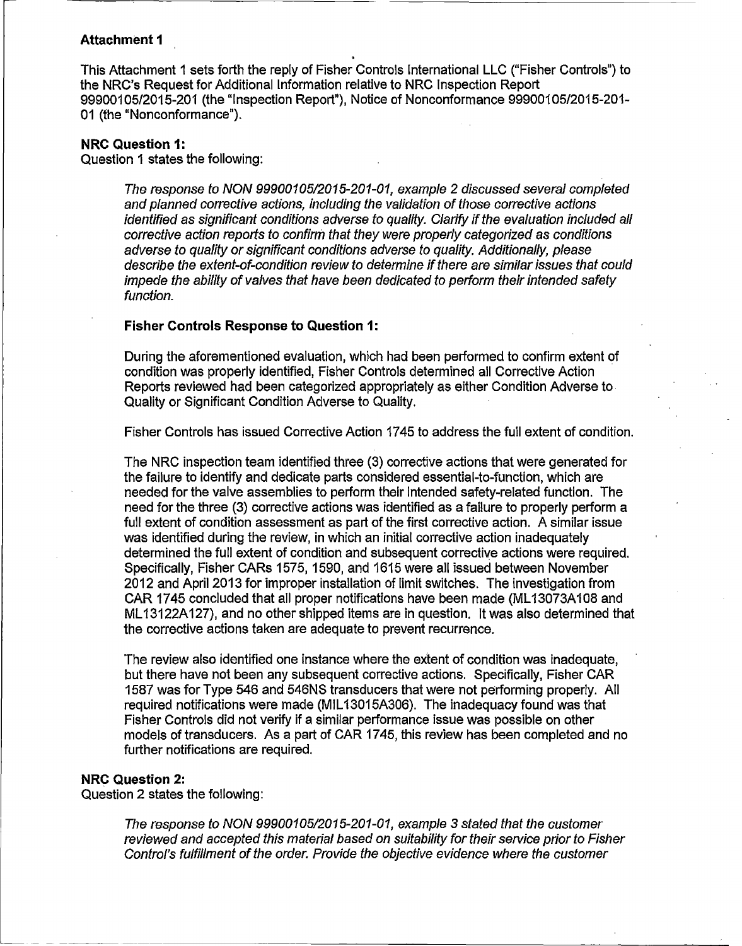## **Attachment I**

This Attachment 1 sets forth the reply of Fisher Controls international LLC ("Fisher Controls") to the **NRC's** Request for Additional Information relative to NRC Inspection Report *999* 001 *05/2015-201* (the "I nspection Report"), Notice of Nonconformance 999001 0512015-201- 01 (the "Nonconformance").

### **NRC Question 1:**

Question 1 states the following:

*The response to* NON *99900105/2015-201-01, example 2 discussed several completed and planned corrective actions, including the validation of those corrective actions identified as significant conditions adverse to quality. Clarify if the evaluation included all corrective action reports to confirm that they were properly categorized as conditions adverse to quality or significant conditions adverse to quality. Additionally, please describe the extent-of-condition review to determine if there are similar issues that could impede the ability of valves that have been dedicated to perform their intended safety function.*

## **Fisher Controls Response to Question 1:**

During the aforementioned evaluation, which had been performed to confirm extent of condition was properly identified, Fisher Controls determined all Corrective Action Reports reviewed had been categorized appropriately as either Condition Adverse to Quality or Significant Condition Adverse to Quality.

Fisher Controls has issued Corrective Action 1745 to address the full extent of condition.

The NRC inspection team identified three (3) corrective actions that were generated for the failure to identify and dedicate parts considered essential-to-function, which are needed for the valve assemblies to perform their intended safety-related function. The need for the three (3) corrective actions was identified as a failure to properly perform a full extent of condition assessment as part of the first corrective action. A similar issue was identified during the review, in which an initial corrective action inadequately determined the full extent of condition and subsequent corrective actions were required. Specifically, Fisher CARs 1575, 1590, and 1615 were all issued between November 2012 and April 2013 for improper installation of limit switches. The investigation from CAR 1745 concluded that all proper notifications have been made (ML1 3073A1 08 and ML13122A127), and no other shipped items are in question. it was also determined that the corrective actions taken are adequate to prevent recurrence.

The review also identified one instance where the extent of condition was inadequate, but there have not been any subsequent corrective actions. Specifically, Fisher CAR 1587 was for Type 546 and 546NS transducers that were not performing properly. All required notifications were made (M1L13015A306). The inadequacy found was that Fisher Controls did not verify if a similar performance issue was possible on other models of transducers. As a part of CAR 1745, this review has been completed and no further notifications are required.

#### **NRC Question** 2:

Question 2 states the following:

*The response to NON 99900105/2015-201-01, example* 3 *stated that the customer reviewed and accepted this material based on suitability for their service prior to Fisher reviewed and accepted this material based on suitability for their service prior to Fisher*<br>Control's fulfillment of the order. Provide the objective evidence where the customer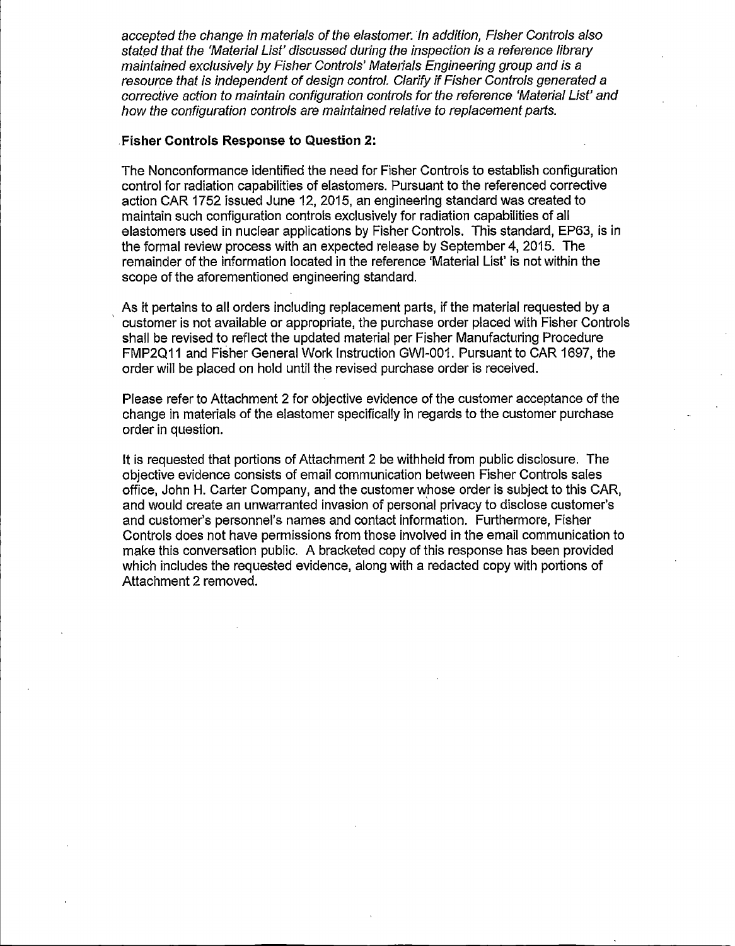*accepted the change in materials of the elastomer.* In *addition, Fisher Controls also stated that the 'Material List' discussed during the inspection is a reference library maintained exclusively by Fisher Controls' Materials Engineering group and is a resource that is independent of design control. Clarify if Fisher Controls generated a corrective action to maintain configuration controls for the reference 'Material List' and how the configuration controls are maintained relative to replacement parts.*

## **•Fisher Controls Response to Question 2:**

The Nonconformance identified the need for Fisher Controls to establish configuration control for radiation capabilities of elastomers. Pursuant to the referenced corrective action CAR 1752 issued June 12, 2015, an engineering standard was created to maintain such configuration controls exclusively for radiation capabilities of all elastomers used in nuclear applications by Fisher Controls. This standard, EP63, is in the formal review process with an expected release by September 4, 2015. The remainder of the information located in the reference 'Material List' is not within the scope of the aforementioned engineering standard.

As it pertains to all orders including replacement parts, if the material requested by a customer is not available or appropriate, the purchase order placed with Fisher Controls shall be revised to reflect the updated material per Fisher Manufacturing Procedure FMP2QI1 and Fisher General Work instruction GWI-001. Pursuant to CAR 1697, the order will be placed on hold until the revised purchase order is received.

Please refer to Attachment 2 for objective evidence of the customer acceptance of the change in materials of the elastomer specifically in regards to the customer purchase order in question.

It is requested that portions of Attachment 2 be withheld from public disclosure. The objective evidence consists of email communication between Fisher Controls sales office, John H. Carter Company, and the customer whose order is subject to this CAR, and would create an unwarranted invasion of personal privacy to disclose customer's and customer's personnel's names and contact information. Furthermore, Fisher Controls does not have permissions from those involved in the email communication to make this conversation public. A bracketed copy of this response has been provided which includes the requested evidence, along with a redacted copy with portions of Attachment 2 removed.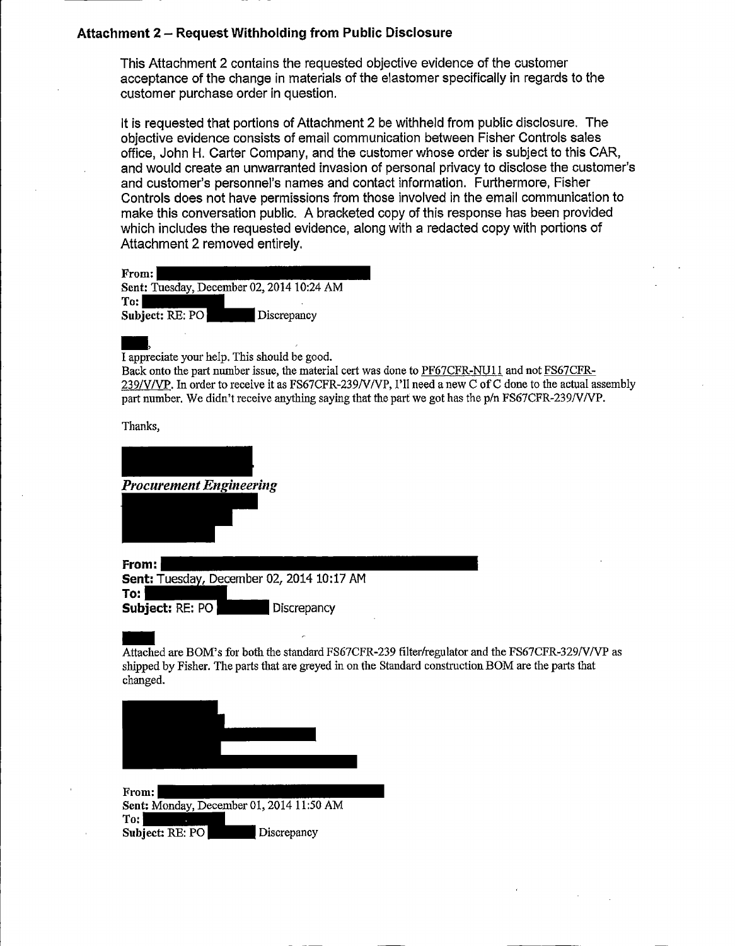# **Attachment 2 - Request Withholding from Public Disclosure**

This Attachment 2 contains the requested objective evidence of the customer acceptance of the change in materials of the elastomer specifically in regards to the customer purchase order in question.

It is requested that portions of Attachment 2 be withheld from public disclosure. The objective evidence consists of email communication between Fisher Controls sales office, John H. Carter Company, and the customer whose order is subject to this CAR, and would create an unwarranted invasion of personal privacy to disclose the customer's and customer's personnel's names and contact information. Furthermore, Fisher Controls does not have permissions from those involved in the email communication to make this conversation public. A bracketed copy of this response has been provided which includes the requested evidence, along with a redacted copy with portions of Attachment 2 removed entirely.

| From:           |                                           |
|-----------------|-------------------------------------------|
|                 | Sent: Tuesday, December 02, 2014 10:24 AM |
| $\text{T}$ o: l |                                           |
| Subject: RE: PO | Discrepancy                               |

I appreciate your help. This should be good.

Back onto the part number issue, the material cert was done to PF67CFR-NU11 and not FS67CFR-239/WVVP. In order to receive it as FS67CFR-239NV/VP, I'll need a new C of C done to the actual assembly part number. We didn't receive anything saying that the part we got has the p/n FS67CFR-239/V/VP.

Thanks,

| <b>Procurement Engineering</b>                     |  |
|----------------------------------------------------|--|
|                                                    |  |
| From:<br>Sent: Tuesday, December 02, 2014 10:17 AM |  |
| To:<br>Subject: RE: PO<br>Discrepancy              |  |

Attached are BOM's for both the standard FS67CFR-239 filter/regulator and the FS67CFR-329/V/VP as shipped by Fisher. The parts that are greyed in on the Standard construction BOM are the parts that changed.



**Sent: Monday, December 01, 2014 11:50 AM Sent:** Monday, Decen To: **Subject: RE: PO** Discrepancy